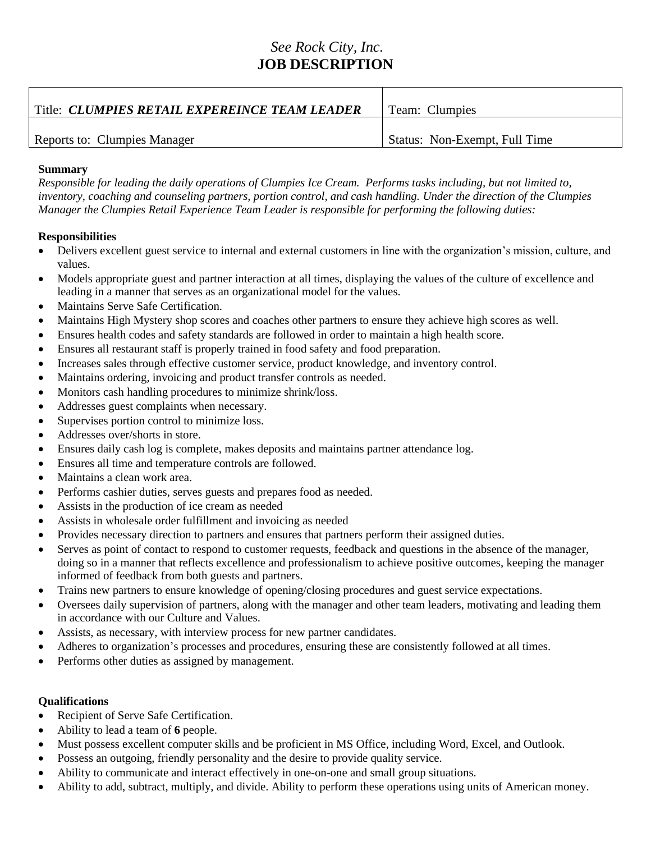## *See Rock City, Inc.* **JOB DESCRIPTION**

| Title: CLUMPIES RETAIL EXPEREINCE TEAM LEADER | Team: Clumpies                |
|-----------------------------------------------|-------------------------------|
| Reports to: Clumpies Manager                  | Status: Non-Exempt, Full Time |

## **Summary**

*Responsible for leading the daily operations of Clumpies Ice Cream. Performs tasks including, but not limited to, inventory, coaching and counseling partners, portion control, and cash handling. Under the direction of the Clumpies Manager the Clumpies Retail Experience Team Leader is responsible for performing the following duties:*

## **Responsibilities**

- Delivers excellent guest service to internal and external customers in line with the organization's mission, culture, and values.
- Models appropriate guest and partner interaction at all times, displaying the values of the culture of excellence and leading in a manner that serves as an organizational model for the values.
- Maintains Serve Safe Certification.
- Maintains High Mystery shop scores and coaches other partners to ensure they achieve high scores as well.
- Ensures health codes and safety standards are followed in order to maintain a high health score.
- Ensures all restaurant staff is properly trained in food safety and food preparation.
- Increases sales through effective customer service, product knowledge, and inventory control.
- Maintains ordering, invoicing and product transfer controls as needed.
- Monitors cash handling procedures to minimize shrink/loss.
- Addresses guest complaints when necessary.
- Supervises portion control to minimize loss.
- Addresses over/shorts in store.
- Ensures daily cash log is complete, makes deposits and maintains partner attendance log.
- Ensures all time and temperature controls are followed.
- Maintains a clean work area.
- Performs cashier duties, serves guests and prepares food as needed.
- Assists in the production of ice cream as needed
- Assists in wholesale order fulfillment and invoicing as needed
- Provides necessary direction to partners and ensures that partners perform their assigned duties.
- Serves as point of contact to respond to customer requests, feedback and questions in the absence of the manager, doing so in a manner that reflects excellence and professionalism to achieve positive outcomes, keeping the manager informed of feedback from both guests and partners.
- Trains new partners to ensure knowledge of opening/closing procedures and guest service expectations.
- Oversees daily supervision of partners, along with the manager and other team leaders, motivating and leading them in accordance with our Culture and Values.
- Assists, as necessary, with interview process for new partner candidates.
- Adheres to organization's processes and procedures, ensuring these are consistently followed at all times.
- Performs other duties as assigned by management.

## **Qualifications**

- Recipient of Serve Safe Certification.
- Ability to lead a team of **6** people.
- Must possess excellent computer skills and be proficient in MS Office, including Word, Excel, and Outlook.
- Possess an outgoing, friendly personality and the desire to provide quality service.
- Ability to communicate and interact effectively in one-on-one and small group situations.
- Ability to add, subtract, multiply, and divide. Ability to perform these operations using units of American money.